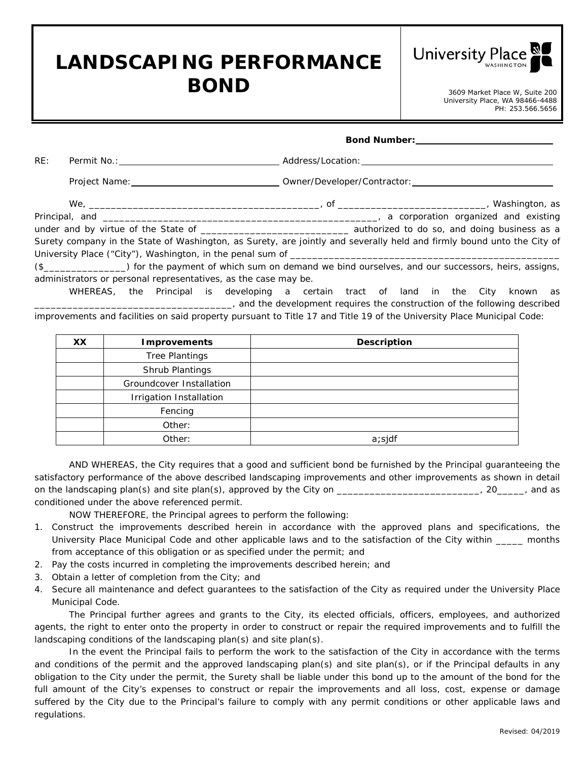## **LANDSCAPING PERFORMANCE BOND** 3609 Market Place W, Suite 200



University Place, WA 98466-4488 PH: 253.566.5656

|     |                                                                 |                                                                                                                        | Bond Number: ________________________ |
|-----|-----------------------------------------------------------------|------------------------------------------------------------------------------------------------------------------------|---------------------------------------|
| RE: |                                                                 |                                                                                                                        |                                       |
|     |                                                                 |                                                                                                                        |                                       |
|     |                                                                 |                                                                                                                        |                                       |
|     |                                                                 |                                                                                                                        |                                       |
|     |                                                                 |                                                                                                                        |                                       |
|     |                                                                 | Surety company in the State of Washington, as Surety, are jointly and severally held and firmly bound unto the City of |                                       |
|     |                                                                 |                                                                                                                        |                                       |
|     |                                                                 | (\$_________________) for the payment of which sum on demand we bind ourselves, and our successors, heirs, assigns,    |                                       |
|     | administrators or personal representatives, as the case may be. |                                                                                                                        |                                       |

WHEREAS, the Principal is developing a certain tract of land in the City known as \_\_\_\_\_\_\_\_\_\_\_\_\_\_\_\_\_\_\_\_\_\_\_\_\_\_\_\_\_\_\_\_\_\_\_\_, and the development requires the construction of the following described improvements and facilities on said property pursuant to Title 17 and Title 19 of the University Place Municipal Code:

| XX. | <b>Improvements</b>      | <b>Description</b> |
|-----|--------------------------|--------------------|
|     | <b>Tree Plantings</b>    |                    |
|     | Shrub Plantings          |                    |
|     | Groundcover Installation |                    |
|     | Irrigation Installation  |                    |
|     | Fencing                  |                    |
|     | Other:                   |                    |
|     | Other:                   | a; sjdf            |

AND WHEREAS, the City requires that a good and sufficient bond be furnished by the Principal guaranteeing the satisfactory performance of the above described landscaping improvements and other improvements as shown in detail on the landscaping plan(s) and site plan(s), approved by the City on \_\_\_\_\_\_\_\_\_\_\_\_\_\_\_\_\_\_\_\_\_\_\_\_\_, 20\_\_\_\_\_, and as conditioned under the above referenced permit.

NOW THEREFORE, the Principal agrees to perform the following:

- 1. Construct the improvements described herein in accordance with the approved plans and specifications, the University Place Municipal Code and other applicable laws and to the satisfaction of the City within \_\_\_\_\_ months from acceptance of this obligation or as specified under the permit; and
- 2. Pay the costs incurred in completing the improvements described herein; and
- 3. Obtain a letter of completion from the City; and
- 4. Secure all maintenance and defect guarantees to the satisfaction of the City as required under the University Place Municipal Code.

The Principal further agrees and grants to the City, its elected officials, officers, employees, and authorized agents, the right to enter onto the property in order to construct or repair the required improvements and to fulfill the landscaping conditions of the landscaping plan(s) and site plan(s).

In the event the Principal fails to perform the work to the satisfaction of the City in accordance with the terms and conditions of the permit and the approved landscaping plan(s) and site plan(s), or if the Principal defaults in any obligation to the City under the permit, the Surety shall be liable under this bond up to the amount of the bond for the full amount of the City's expenses to construct or repair the improvements and all loss, cost, expense or damage suffered by the City due to the Principal's failure to comply with any permit conditions or other applicable laws and regulations.